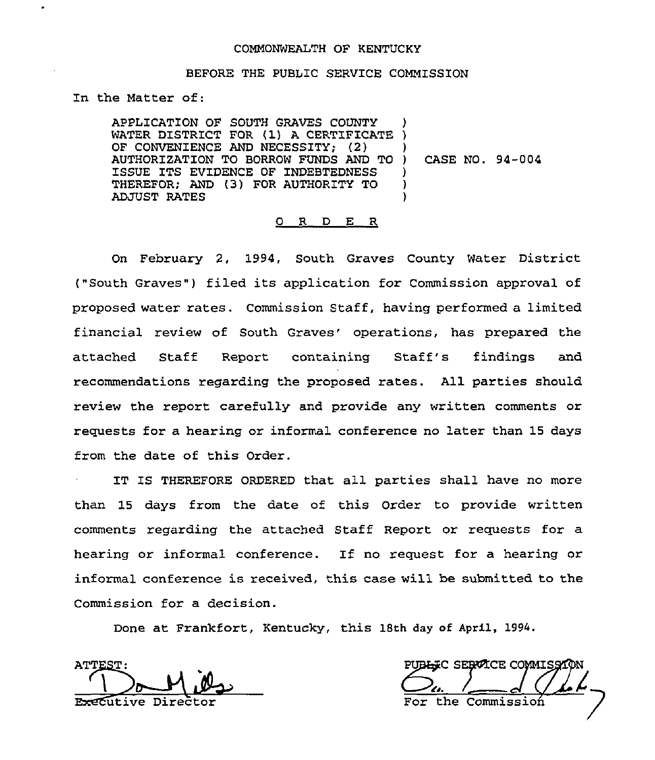#### COMMONWEALTH OF KENTUCKY

#### BEFORE THE PUBLIC SERV1CE COMMISSION

In the Matter of:

APPLICATION OF SOUTH GRAVES COUNTY APPLICATION OF SOUTH GRAVES COUNTY )<br>WATER DISTRICT FOR (1) A CERTIFICATE )<br>AT ANIMALITY OF THE LOCATE DESCRIPTION OF CONVENIENCE AND NECESSITY; (2) AUTHORIZATION TO BORROW FUNDS AND TO ISSUE ITS EVIDENCE OF INDEBTEDNESS THEREFOR; AND (3) FOR AUTHORITY TO ADJUST RATES ) ) } CASE NO. 94-004 ) )

### 0 R D E R

On February 2, 1994, South Graves County Water District ("South Graves") filed its application for Commission approval of proposed water rates. Commission Staff, having performed a limited financial review of South Graves' operations, has prepared the attached Staff Report containing Staff's findings and recommendations regarding the proposed rates. All parties should review the report carefully and provide any written comments or requests for a hearing or informal conference no later than 15 days from the date of this Order.

IT IS THEREFORE ORDERED that all parties shall have no more than 15 days from the date of this Order to provide written comments regarding the attached Staff Report or requests for a hearing or informal conference. If no request for a hearing or informal conference is received, this case will be submitted to the Commission for a decision.

Done at Frankfort, Kentucky, this 18th day of April, 1994.

**ATTES Executive Direct** 

PUB<del>LI</del>C SERVICE COMMISSI the Commission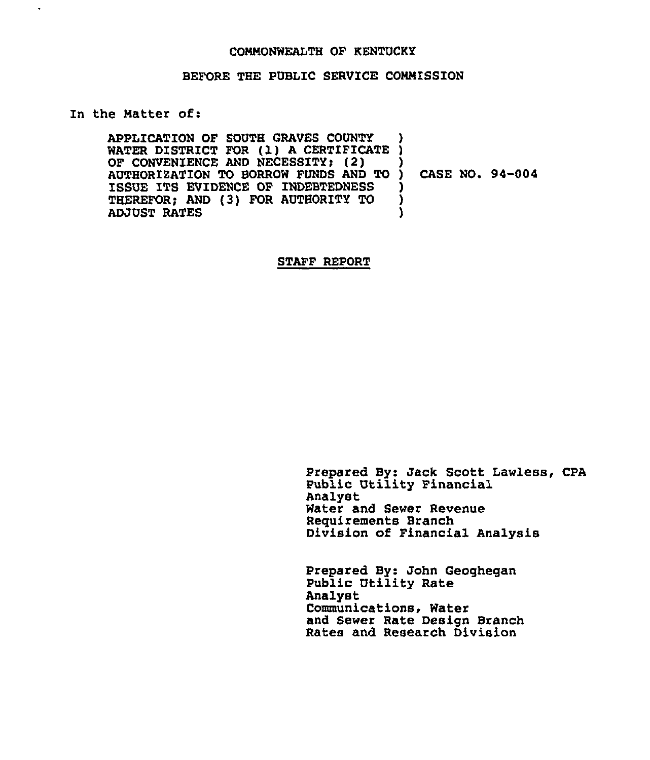### COMMONWEALTH OF RENTUCKY

### BEFORE THE PUBLIC SERVICE COMMISSION

### In the Matter of:

 $\ddot{\phantom{0}}$ 

APPLICATION OF SOUTH GRAVES COUNTY APPLICATION OF SOUTH GRAVES COUNTY<br>WATER DISTRICT FOR (1) A CERTIFICATE )<br>A CERTIFICATE DUR UTOLOGENI (2) OF CONVENIENCE AND NECESSITY; (2) AUTHORIZATION TO BORROW FUNDS AND TO ISSUE ITS EVIDENCE OF INDEBTEDNESS THEREFOR; AND (3) FOR AUTHORITY TO ADJUST RATES ) ) ) CASE NO. 94-004 ) ) )

#### STAFF REPORT

Prepared By: Jack Scott Lawless, CpA Public Utility Financial Analyst Water and Sewer Revenue Requirements Branch Division of Financial Analysis

Prepared By: John Geoghegan Public Utility Rate Analyst Communications, Water and Sewer Rate Design Branch Rates and Research Division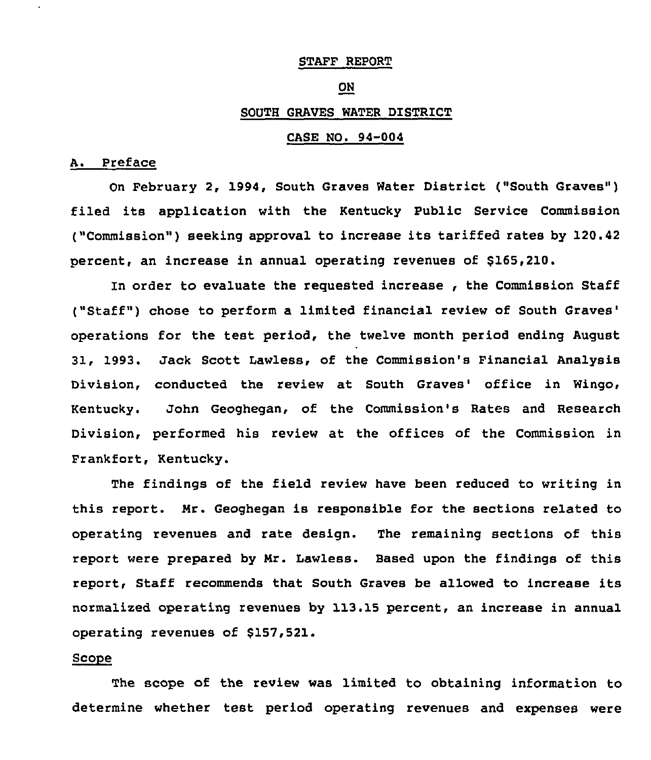### STAFF REPORT

#### **ON**

### SOUTH GRAVES WATER DISTRICT

### CASE NO. 94-004

### A. Preface

On February 2, 1994, South Graves Water District ("South Graves" ) filed its application with the Kentucky Public Service Commission ("Commission") seeking approval to increase its tariffed rates by 120.42 percent, an increase in annual operating revenues of \$165,210.

In order to evaluate the requested increase , the Commission Staff ("Staff") chose to perform a limited financial review of South Graves' operations for the test period, the twelve month period ending August 31, 1993. Jack Scott Lawless, of the Commission's Financial Analysis Division, conducted the review at South Graves' office in Wingo, Kentucky. John Geoghegan, of the Commission's Rates and Research Division, performed his review at the offices of the Commission in Frankfort, Kentucky.

The findings of the field review have been reduced to writing in this report. Mr. Geoghegan is responsible for the sections related to operating revenues and rate design. The remaining sections of this report were prepared by Mr. Lawless. Based upon the findings of this report, Staff recommends that South Graves be allowed to increase its normalized operating revenues by 113.15 percent, an increase in annual operating revenues of \$157 521.

# Scope

The scope of the review was limited to obtaining information to determine whether test period operating revenues and expenses were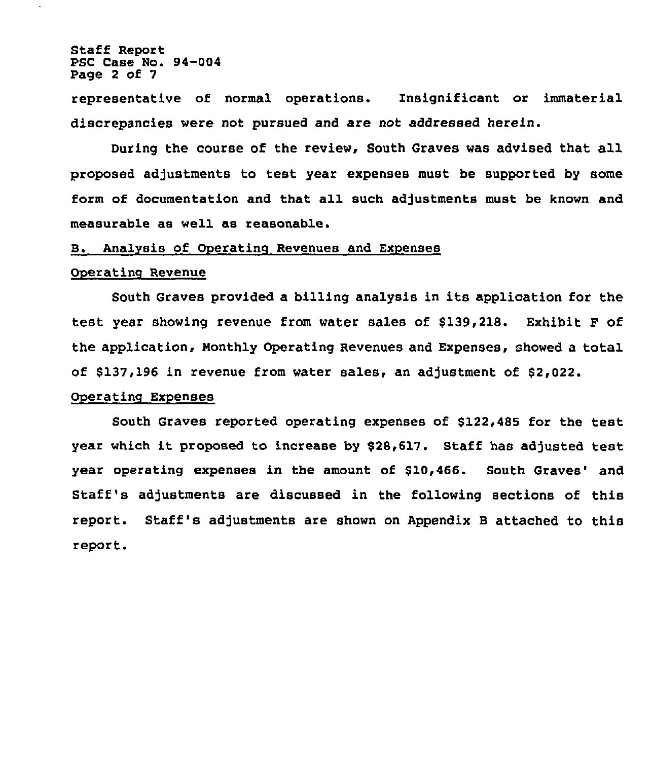Staff Report PSC Case No. 94-004 Page 2 of 7

 $\ddot{\phantom{0}}$ 

representative of normal operations. Insignificant or immaterial discrepancies were not pursued and are not addressed herein.

During the course of the review, South Graves was advised that all proposed adjustments to test year expenses must be supported by some form of documentation and that all such adjustments must be known and measurable as well as reasonable.

### B. Analysis of Operating Revenues and Expenses

#### Operating Revenue

South Graves provided a billing analysis in its application for the test year showing revenue from water sales of \$139,218. Exhibit F of the application, Monthly Operating Revenues and Expenses, showed a total of \$137,196 in revenue from water sales, an adjustment of \$2,022.

### Operatinq Expenses

South Graves reported operating expenses of \$122,485 for the test year which it proposed to increase by \$28,617. Staff has adjusted test year operating expenses in the amount of \$10,466. South Graves' and Staff's adjustments are discussed in the following sections of this report. Staff's adjustments are shown on Appendix <sup>B</sup> attached to this report.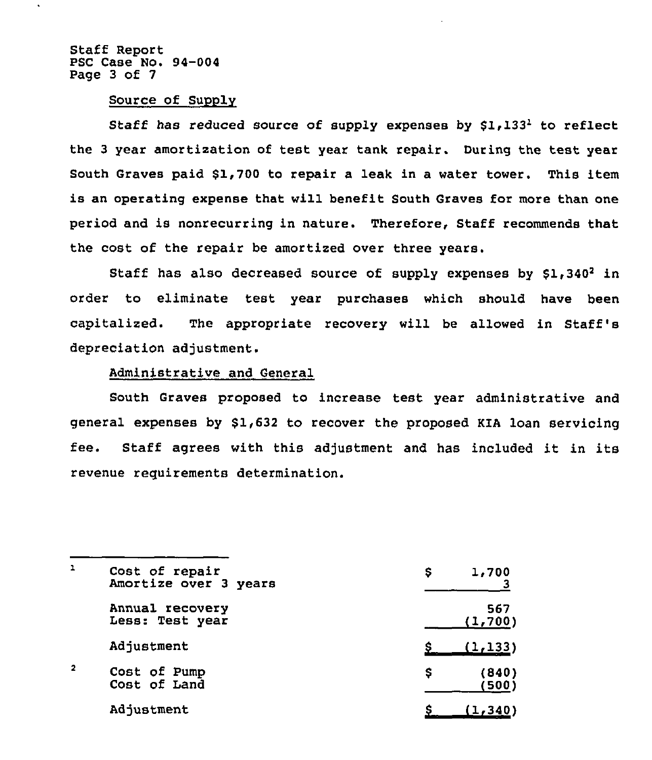Staff Report PSC Case No. 94-004 Page 3 of 7

 $\ddot{\phantom{0}}$ 

### Source of Supply

Staff has reduced source of supply expenses by  $$1,133<sup>1</sup>$  to reflect the <sup>3</sup> year amortization of test year tank repair. During the test year South Graves paid \$1,700 to repair a leak in a water tower. This item is an operating expense that will benefit South Graves for more than one period and is nonrecurring in nature. Therefore, Staff recommends that the cost of the repair be amortized over three years,

Staff has also decreased source of supply expenses by  $$1,340^2$  in order to eliminate test year purchases which should have been capitalized. The appropriate recovery will be allowed in Staff's depreciation adjustment,

### Administrative and General

South Graves proposed to increase test year administrative and general expenses by \$1,632 to recover the proposed KIA loan servicing fee. Staff agrees with this adjustment and has included it in its revenue requirements determination.

| 1                       | Cost of repair<br>Amortize over 3 years | 1,700<br>s          |
|-------------------------|-----------------------------------------|---------------------|
|                         | Annual recovery<br>Less: Test year      | 567<br>(1,700)      |
|                         | Adjustment                              | (1, 133)            |
| $\overline{\mathbf{2}}$ | Cost of Pump<br>Cost of Land            | s<br>(840)<br>(500) |
|                         | Adjustment                              | (1, 340)            |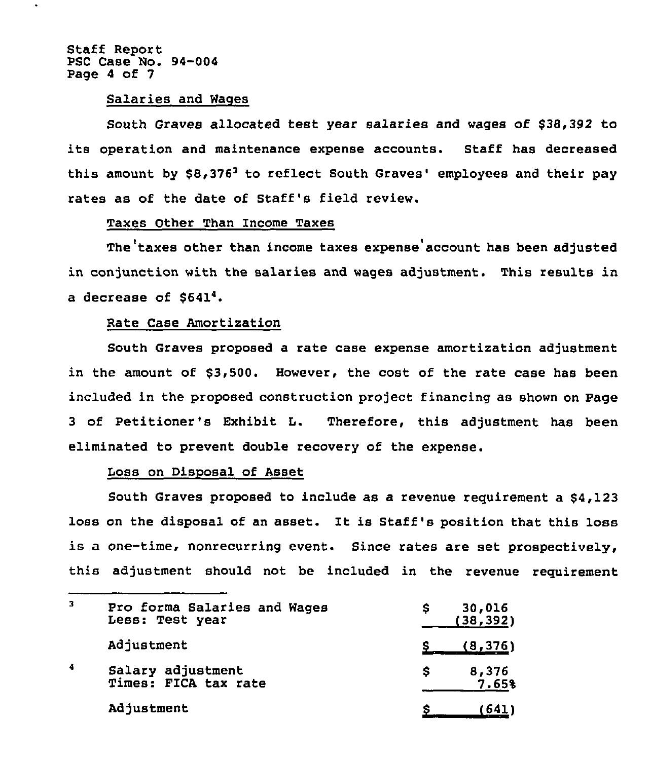Staff Report PSC Case No. 94-004 Page 4 of 7

### Salaries and Wages

South Graves allocated test year salaries and wages of \$38,392 to its operation and maintenance expense accounts. Staff has decreased this amount by  $$8,376<sup>3</sup>$  to reflect South Graves' employees and their pay rates as of the date of Staff's field review.

# Taxes Other Than Income Taxes

The taxes other than income taxes expense account has been adjusted in conjunction with the salaries and wages adjustment. This results in a decrease of \$6414.

### Rate Case Amortization

South Graves proposed a rate case expense amortization adjustment in the amount of \$3,500. However, the cost of the rate case has been included in the proposed construction project financing as shown on Page <sup>3</sup> of Petitioner's Exhibit L. Therefore, this adjustment has been eliminated to prevent double recovery of the expense.

# Loss on Disposal of Asset

South Graves proposed to include as a revenue requirement a \$4,123 loss on the disposal of an asset. It is Staff's position that this loss is a one-time, nonrecurring event. Since rates are set prospectively, this adjustment should not be included in the revenue requirement

| 3 | Pro forma Salaries and Wages<br>Less: Test year | 30,016<br>s<br>(38, 392) |
|---|-------------------------------------------------|--------------------------|
|   | Adjustment                                      | (8, 376)                 |
| 4 | Salary adjustment<br>Times: FICA tax rate       | 8,376<br>s<br>7.65%      |
|   | Adjustment                                      | (641)                    |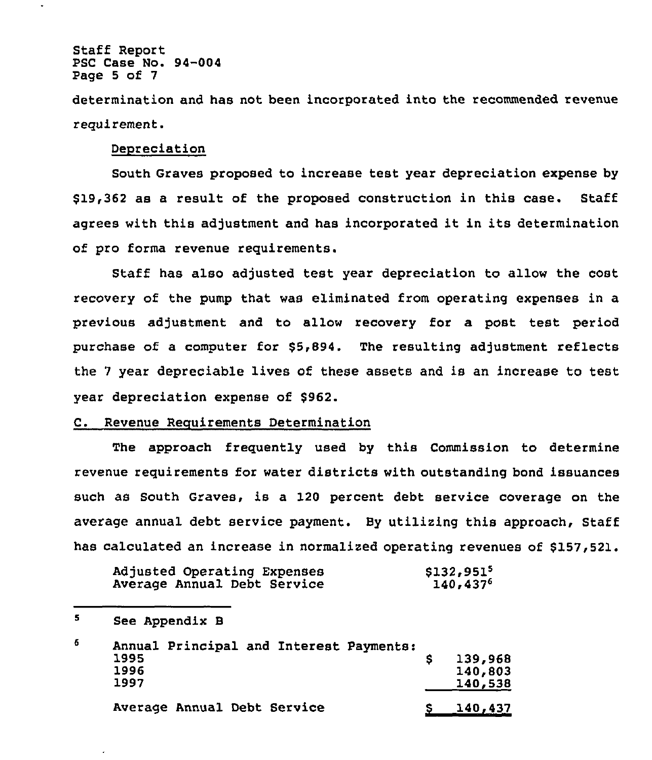Staff Report PSC Case No. 94-004 Page 5 of 7

l.

determination and has not been incorporated into the recommended revenue requirement.

### Depreciation

South Graves proposed to increase test year depreciation expense by \$ 19,362 as a result of the proposed construction in this case. Staff agrees with this adjustment and has incorporated it in its determination of pro forma revenue requirements.

Staff has also adjusted test year depreciation to allow the cost recovery of the pump that was eliminated from operating expenses in a previous adjustment and to allow recovery for a post test period purchase of a computer for \$5,894. The resulting adjustment reflects the <sup>7</sup> year depreciable lives of these assets and is an increase to test year depreciation expense of \$962.

### C. Revenue Requirements Determination

The approach frequently used by this Commission to determine revenue requirements for water districts with outstanding bond issuances such as South Graves, is a 120 percent debt service coverage on the average annual debt service payment. By utilizing this approach, Staff has calculated an increase in normalized operating revenues of \$157,521.

| Adjusted Operating Expenses | \$132,951 <sup>5</sup> |
|-----------------------------|------------------------|
| Average Annual Debt Service | $140,437^6$            |

 $\mathbf{S}$ See Appendix B 6 Annual Principal and Interest Payments: 1995 \$ 139,968 1996 140,803 1997 140,538 Average Annual Debt Service 8 140,437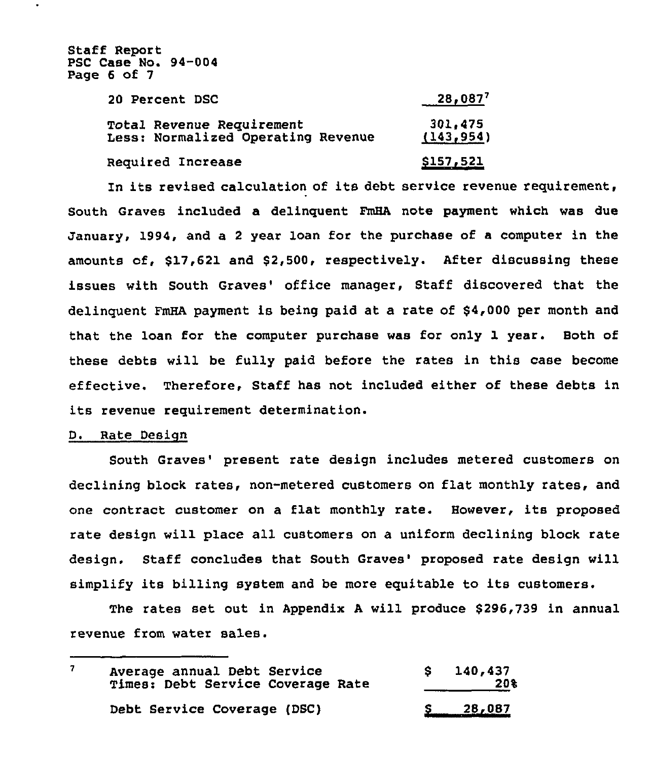Staff Report PSC Case No. 94-004 Page 6 of 7

| <b>20 Percent DSC</b>                                                  | $28,087^7$            |  |
|------------------------------------------------------------------------|-----------------------|--|
| <b>Total Revenue Requirement</b><br>Less: Normalized Operating Revenue | 301,475<br>(143, 954) |  |
| Required Increase                                                      | <u>\$157,521</u>      |  |

In its revised calculation of its debt service revenue requirement, South Graves included a delinquent FmHA note payment which was due January, 1994, and a 2 year loan for the purchase of a computer in the amounts of, \$17,621 and \$2,500, respectively. After discussing these issues with South Graves' office manager, Staff discovered that the delinquent FmHA payment is being paid at a rate of \$4,000 per month and that the loan for the computer purchase was for only 1 year. Both of these debts will be fully paid before the rates in this case become effective. Therefore, Staff has not included either of these debts in its revenue requirement determination.

# D. Rate Design

South Graves' present rate design includes metered customers on declining block rates, non-metered customers on flat monthly rates, and one contract customer on <sup>a</sup> flat monthly rate. However, its proposed rate design will place all customers on a uniform declining block rate design. Staff concludes that South Graves' proposed rate design will simplify its billing system and be more equitable to its customers.

The rates set out in Appendix A will produce \$296,739 in annual revenue from water sales.

| Average annual Debt Service<br>Times: Debt Service Coverage Rate | 140,437<br>20% |
|------------------------------------------------------------------|----------------|
| Debt Service Coverage (DSC)                                      | 28,087         |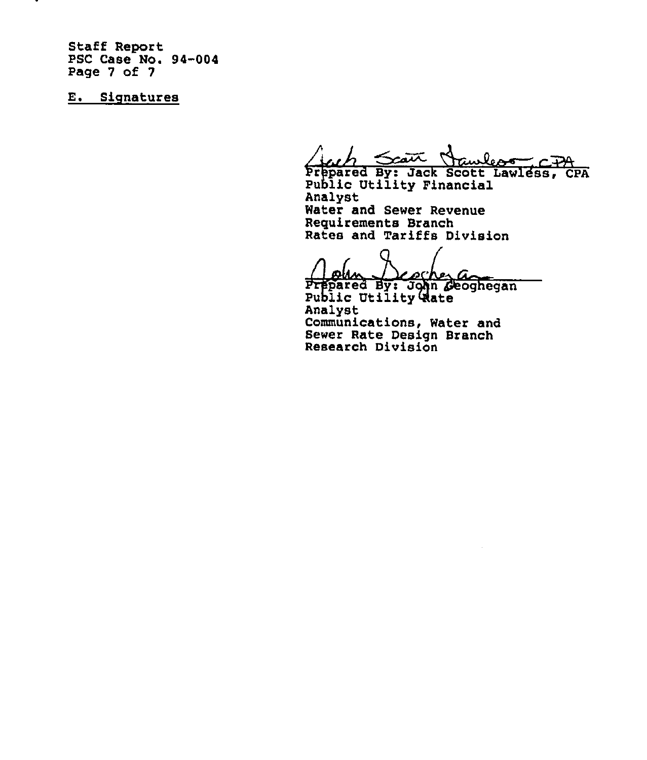Staff Report PSC Case No. 94-004 Page 7 of 7

E. Signatures

Scatt Hawless-CIA

Prepared By: Jack Scott Lawless, CPA<br>Public Utility Financial Analyst Water and Sewer Revenue Requirements Branch Rates and Tariffs Division

Prepared By: John Geoghegan<br>Prepared By: John Geoghegan Analyst Communications, Water and Sewer Rate Design Branch Research Division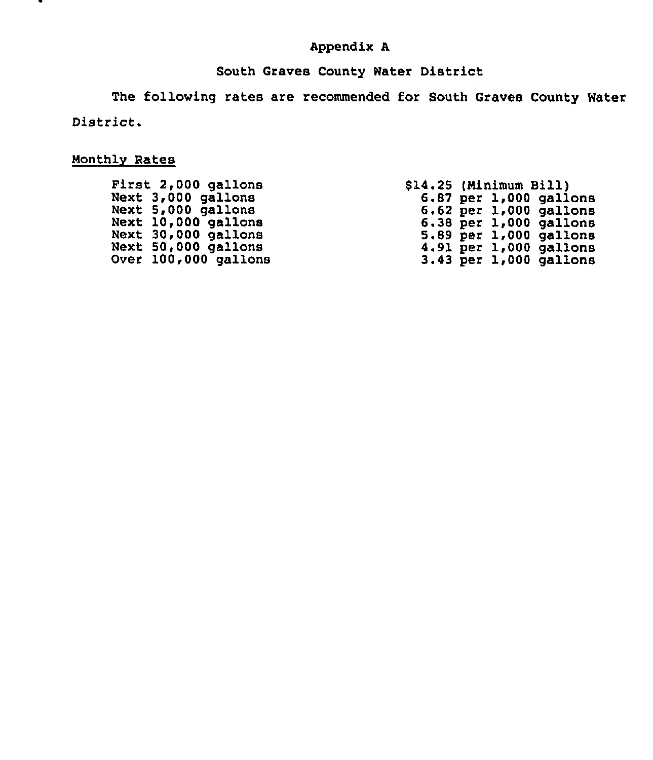# Appendix A

# South Graves County Water District

The following rates are recommended for South Graves County Water District.

# Nonthlv Rates

|      | First 2,000 gallons |
|------|---------------------|
|      | Next 3,000 gallons  |
| Next | $5,000$ gallons     |
| Next | $10,000$ gallons    |
| Next | 30,000 gallons      |
| Next | gallons<br>50,000   |
| Over | 100,000 gallons     |

\$14.25 (Minimum 8111) 6.87 per 1,000 gallons 6.62 per 1,000 gallons 6.38 per 1,000 gallons 5.89 per 1,000 gallons 4.91 per 1,000 gallons 3.43 per 1,000 gallons